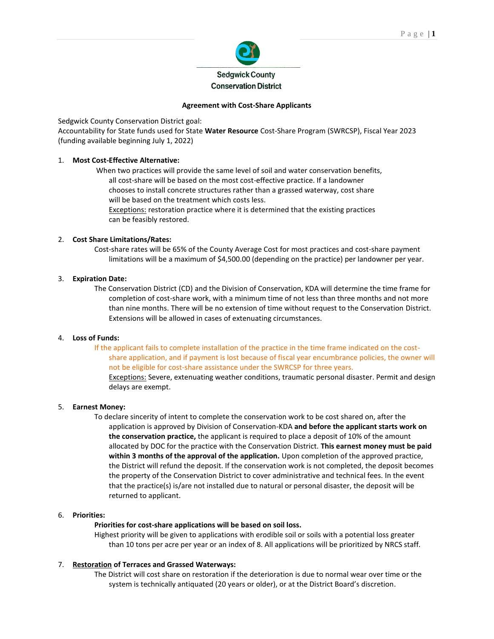

# **Agreement with Cost-Share Applicants**

Sedgwick County Conservation District goal:

Accountability for State funds used for State **Water Resource** Cost-Share Program (SWRCSP), Fiscal Year 2023 (funding available beginning July 1, 2022)

# 1. **Most Cost-Effective Alternative:**

When two practices will provide the same level of soil and water conservation benefits, all cost-share will be based on the most cost-effective practice. If a landowner chooses to install concrete structures rather than a grassed waterway, cost share will be based on the treatment which costs less. Exceptions: restoration practice where it is determined that the existing practices can be feasibly restored.

# 2. **Cost Share Limitations/Rates:**

Cost-share rates will be 65% of the County Average Cost for most practices and cost-share payment limitations will be a maximum of \$4,500.00 (depending on the practice) per landowner per year.

# 3. **Expiration Date:**

The Conservation District (CD) and the Division of Conservation, KDA will determine the time frame for completion of cost-share work, with a minimum time of not less than three months and not more than nine months. There will be no extension of time without request to the Conservation District. Extensions will be allowed in cases of extenuating circumstances.

### 4. **Loss of Funds:**

If the applicant fails to complete installation of the practice in the time frame indicated on the costshare application, and if payment is lost because of fiscal year encumbrance policies, the owner will not be eligible for cost-share assistance under the SWRCSP for three years.

Exceptions: Severe, extenuating weather conditions, traumatic personal disaster. Permit and design delays are exempt.

### 5. **Earnest Money:**

To declare sincerity of intent to complete the conservation work to be cost shared on, after the application is approved by Division of Conservation-KDA **and before the applicant starts work on the conservation practice,** the applicant is required to place a deposit of 10% of the amount allocated by DOC for the practice with the Conservation District. **This earnest money must be paid within 3 months of the approval of the application.** Upon completion of the approved practice, the District will refund the deposit. If the conservation work is not completed, the deposit becomes the property of the Conservation District to cover administrative and technical fees. In the event that the practice(s) is/are not installed due to natural or personal disaster, the deposit will be returned to applicant.

### 6. **Priorities:**

# **Priorities for cost-share applications will be based on soil loss.**

Highest priority will be given to applications with erodible soil or soils with a potential loss greater than 10 tons per acre per year or an index of 8. All applications will be prioritized by NRCS staff.

# 7. **Restoration of Terraces and Grassed Waterways:**

The District will cost share on restoration if the deterioration is due to normal wear over time or the system is technically antiquated (20 years or older), or at the District Board's discretion.